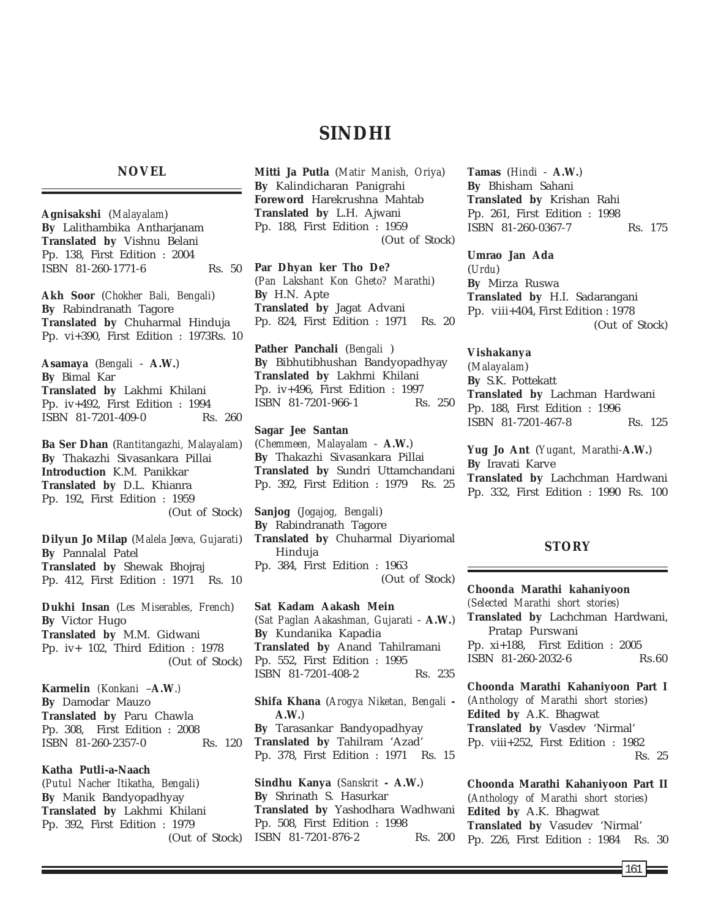# **SINDHI**

## **NOVEL**

**Agnisakshi** (*Malayalam*) **By** Lalithambika Antharjanam **Translated by** Vishnu Belani Pp. 138, First Edition : 2004 ISBN 81-260-1771-6 Rs. 50

**Akh Soor** (*Chokher Bali, Bengali*) **By** Rabindranath Tagore **Translated by** Chuharmal Hinduja Pp. vi+390, First Edition : 1973Rs. 10

**Asamaya** (*Bengali* - **A.W.**) **By** Bimal Kar **Translated by** Lakhmi Khilani Pp. iv+492, First Edition : 1994 ISBN 81-7201-409-0 Rs. 260

**Ba Ser Dhan** (*Rantitangazhi, Malayalam*) **By** Thakazhi Sivasankara Pillai **Introduction** K.M. Panikkar **Translated by** D.L. Khianra Pp. 192, First Edition : 1959 (Out of Stock)

**Dilyun Jo Milap** (*Malela Jeeva, Gujarati*) **By** Pannalal Patel **Translated by** Shewak Bhojraj Pp. 412, First Edition : 1971 Rs. 10

**Dukhi Insan** (*Les Miserables, French*) **By** Victor Hugo **Translated by** M.M. Gidwani Pp. iv+ 102, Third Edition : 1978 (Out of Stock)

**Karmelin** *(Konkani* –**A.W**.*)* **By** Damodar Mauzo **Translated by** Paru Chawla Pp. 308, First Edition : 2008 ISBN 81-260-2357-0 Rs. 120

**Katha Putli-a-Naach** (*Putul Nacher Itikatha, Bengali*) **By** Manik Bandyopadhyay **Translated by** Lakhmi Khilani Pp. 392, First Edition : 1979 (Out of Stock) **Mitti Ja Putla** (*Matir Manish, Oriya*) **By** Kalindicharan Panigrahi **Foreword** Harekrushna Mahtab **Translated by** L.H. Ajwani Pp. 188, First Edition : 1959 (Out of Stock)

**Par Dhyan ker Tho De?** (*Pan Lakshant Kon Gheto? Marathi*) **By** H.N. Apte **Translated by** Jagat Advani Pp. 824, First Edition : 1971 Rs. 20

**Pather Panchali** (*Bengali* ) **By** Bibhutibhushan Bandyopadhyay **Translated by** Lakhmi Khilani Pp. iv+496, First Edition : 1997 ISBN 81-7201-966-1 Rs. 250

**Sagar Jee Santan** (*Chemmeen, Malayalam* - **A.W.**) **By** Thakazhi Sivasankara Pillai **Translated by** Sundri Uttamchandani Pp. 392, First Edition : 1979 Rs. 25

**Sanjog** (*Jogajog, Bengali*) **By** Rabindranath Tagore **Translated by** Chuharmal Diyariomal Hinduja Pp. 384, First Edition : 1963 (Out of Stock)

**Sat Kadam Aakash Mein** (*Sat Paglan Aakashman, Gujarati* - **A.W.**) **By** Kundanika Kapadia **Translated by** Anand Tahilramani Pp. 552, First Edition : 1995 ISBN 81-7201-408-2 Rs. 235

**Shifa Khana** (*Arogya Niketan, Bengali* **- A.W.**) **By** Tarasankar Bandyopadhyay **Translated by** Tahilram 'Azad' Pp. 378, First Edition : 1971 Rs. 15

**Sindhu Kanya** (*Sanskrit* **- A.W.**) **By** Shrinath S. Hasurkar **Translated by** Yashodhara Wadhwani Pp. 508, First Edition : 1998 ISBN 81-7201-876-2 Rs. 200 **Tamas** (*Hindi* - **A.W.**) **By** Bhisham Sahani **Translated by** Krishan Rahi Pp. 261, First Edition : 1998 ISBN 81-260-0367-7 Rs. 175

**Umrao Jan Ada** (*Urdu*) **By** Mirza Ruswa **Translated by** H.I. Sadarangani Pp. viii+404, First Edition : 1978 (Out of Stock)

**Vishakanya** (*Malayalam*) **By** S.K. Pottekatt **Translated by** Lachman Hardwani Pp. 188, First Edition : 1996 ISBN 81-7201-467-8 Rs. 125

**Yug Jo Ant** (*Yugant, Marathi-***A.W.**) **By** Iravati Karve **Translated by** Lachchman Hardwani Pp. 332, First Edition : 1990 Rs. 100

## **STORY**

**Choonda Marathi kahaniyoon** *(Selected Marathi short stories)* **Translated by** Lachchman Hardwani, Pratap Purswani Pp. xi+188, First Edition : 2005 ISBN 81-260-2032-6 Rs.60

**Choonda Marathi Kahaniyoon Part I** (*Anthology of Marathi short stories*) **Edited by** A.K. Bhagwat **Translated by** Vasdev 'Nirmal' Pp. viii+252, First Edition : 1982 Rs. 25

**Choonda Marathi Kahaniyoon Part II** (*Anthology of Marathi short stories*) **Edited by** A.K. Bhagwat **Translated by** Vasudev 'Nirmal' Pp. 226, First Edition : 1984 Rs. 30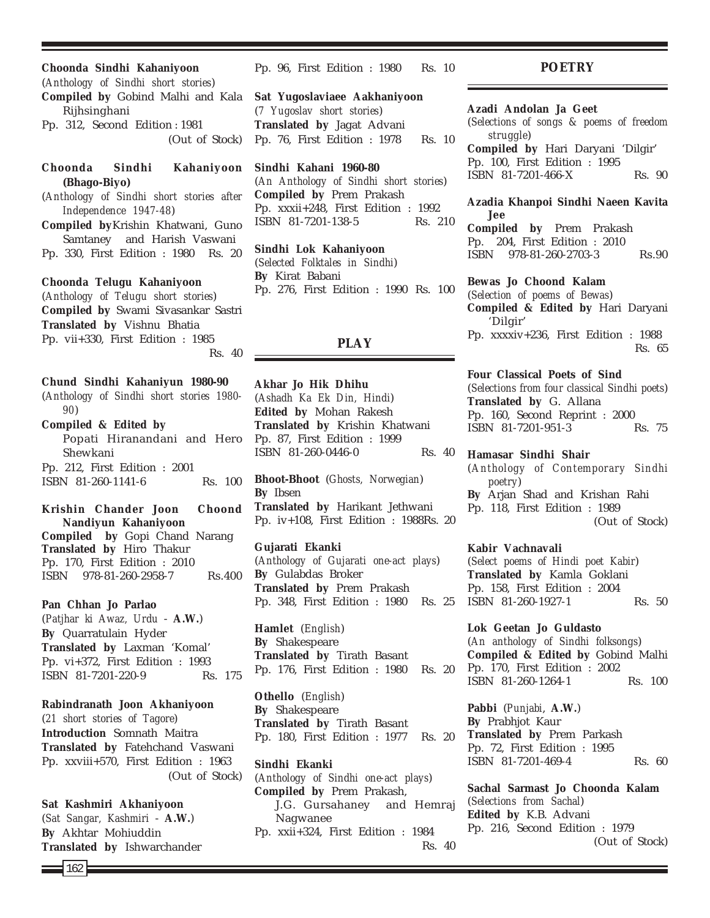**Choonda Sindhi Kahaniyoon** (*Anthology of Sindhi short stories*) **Compiled by** Gobind Malhi and Kala Rijhsinghani Pp. 312, Second Edition : 1981 (Out of Stock)

## **Choonda Sindhi Kahaniyoon (Bhago-Biyo)**

(*Anthology of Sindhi short stories after Independence 1947-48*)

**Compiled by**Krishin Khatwani, Guno Samtaney and Harish Vaswani Pp. 330, First Edition : 1980 Rs. 20

#### **Choonda Telugu Kahaniyoon**

(*Anthology of Telugu short stories*) **Compiled by** Swami Sivasankar Sastri **Translated by** Vishnu Bhatia Pp. vii+330, First Edition : 1985 Rs. 40

**Chund Sindhi Kahaniyun 1980-90** (*Anthology of Sindhi short stories 1980-*

*90*)

**Compiled & Edited by** Popati Hiranandani and Hero Shewkani Pp. 212, First Edition : 2001 ISBN 81-260-1141-6 Rs. 100

**Krishin Chander Joon Choond Nandiyun Kahaniyoon Compiled by** Gopi Chand Narang **Translated by** Hiro Thakur Pp. 170, First Edition : 2010 ISBN 978-81-260-2958-7 Rs.400

## **Pan Chhan Jo Parlao**

(*Patjhar ki Awaz, Urdu* - **A.W.**) **By** Quarratulain Hyder **Translated by** Laxman 'Komal' Pp. vi+372, First Edition : 1993 ISBN 81-7201-220-9 Rs. 175

**Rabindranath Joon Akhaniyoon**

(*21 short stories of Tagore*) **Introduction** Somnath Maitra **Translated by** Fatehchand Vaswani Pp. xxviii+570, First Edition : 1963 (Out of Stock)

## **Sat Kashmiri Akhaniyoon**

(*Sat Sangar, Kashmiri* - **A.W.**) **By** Akhtar Mohiuddin **Translated by** Ishwarchander Pp. 96, First Edition : 1980 Rs. 10

**Sat Yugoslaviaee Aakhaniyoon** (*7 Yugoslav short stories*) **Translated by** Jagat Advani Pp. 76, First Edition : 1978 Rs. 10

**Sindhi Kahani 1960-80** (*An Anthology of Sindhi short stories*) **Compiled by** Prem Prakash Pp. xxxii+248, First Edition : 1992 ISBN 81-7201-138-5 Rs. 210

**Sindhi Lok Kahaniyoon** (*Selected Folktales in Sindhi*) **By** Kirat Babani Pp. 276, First Edition : 1990 Rs. 100

## **PLAY**

**Akhar Jo Hik Dhihu** (*Ashadh Ka Ek Din, Hindi*) **Edited by** Mohan Rakesh **Translated by** Krishin Khatwani Pp. 87, First Edition : 1999 ISBN 81-260-0446-0 Rs. 40

**Bhoot-Bhoot** (*Ghosts, Norwegian*) **By** Ibsen **Translated by** Harikant Jethwani Pp. iv+108, First Edition : 1988Rs. 20

**Gujarati Ekanki** (*Anthology of Gujarati one-act plays*) **By** Gulabdas Broker **Translated by** Prem Prakash Pp. 348, First Edition : 1980 Rs. 25

**Hamlet** (*English*) **By** Shakespeare **Translated by** Tirath Basant Pp. 176, First Edition : 1980 Rs. 20

**Othello** (*English*) **By** Shakespeare **Translated by** Tirath Basant Pp. 180, First Edition : 1977 Rs. 20

**Sindhi Ekanki** (*Anthology of Sindhi one-act plays*) **Compiled by** Prem Prakash, J.G. Gursahaney and Hemraj Nagwanee Pp. xxii+324, First Edition : 1984 Rs. 40

**POETRY**

## **Azadi Andolan Ja Geet**

(*Selections of songs & poems of freedom struggle*)

**Compiled by** Hari Daryani 'Dilgir' Pp. 100, First Edition : 1995 ISBN 81-7201-466-X Rs. 90

### **Azadia Khanpoi Sindhi Naeen Kavita Jee**

**Compiled by** Prem Prakash Pp. 204, First Edition : 2010 ISBN 978-81-260-2703-3 Rs.90

#### **Bewas Jo Choond Kalam**

(*Selection of poems of Bewas*) **Compiled & Edited by** Hari Daryani 'Dilgir' Pp. xxxxiv+236, First Edition : 1988 Rs. 65

#### **Four Classical Poets of Sind**

(*Selections from four classical Sindhi poets*) **Translated by** G. Allana Pp. 160, Second Reprint : 2000 ISBN 81-7201-951-3 Rs. 75

**Hamasar Sindhi Shair**

(*Anthology of Contemporary Sindhi poetry*) **By** Arjan Shad and Krishan Rahi Pp. 118, First Edition : 1989 (Out of Stock)

#### **Kabir Vachnavali**

(*Select poems of Hindi poet Kabir*) **Translated by** Kamla Goklani Pp. 158, First Edition : 2004 ISBN 81-260-1927-1 Rs. 50

**Lok Geetan Jo Guldasto** (*An anthology of Sindhi folksongs*) **Compiled & Edited by** Gobind Malhi Pp. 170, First Edition : 2002 ISBN 81-260-1264-1 Rs. 100

**Pabbi** (*Punjabi*, **A.W.**) **By** Prabhjot Kaur **Translated by** Prem Parkash Pp. 72, First Edition : 1995 ISBN 81-7201-469-4 Rs. 60

**Sachal Sarmast Jo Choonda Kalam** (*Selections from Sachal*) **Edited by** K.B. Advani Pp. 216, Second Edition : 1979 (Out of Stock)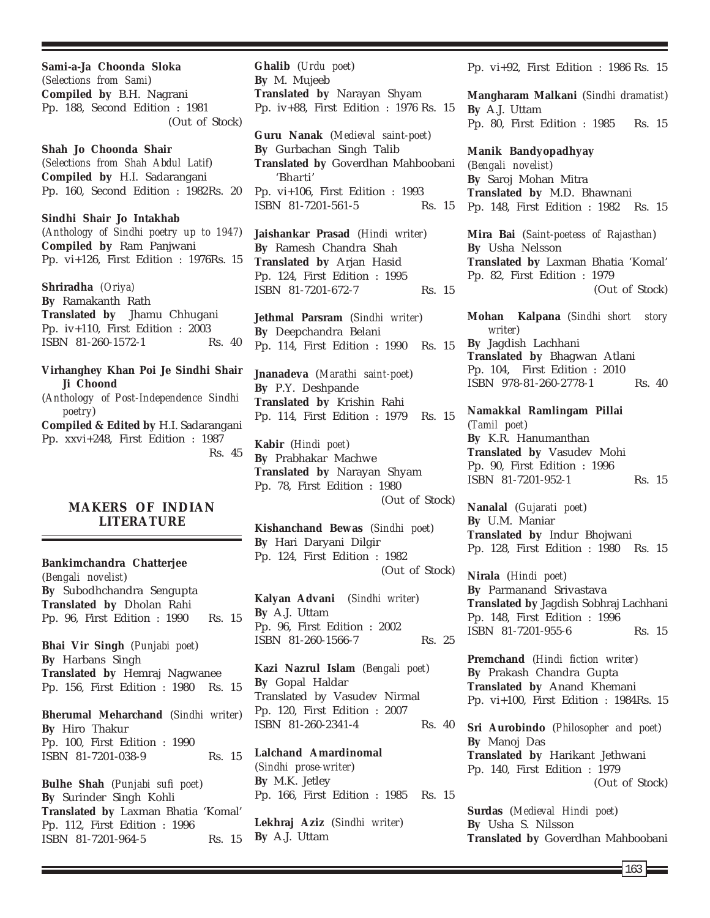**Sami-a-Ja Choonda Sloka** (*Selections from Sami*) **Compiled by** B.H. Nagrani Pp. 188, Second Edition : 1981 (Out of Stock)

**Shah Jo Choonda Shair** (*Selections from Shah Abdul Latif*) **Compiled by** H.I. Sadarangani Pp. 160, Second Edition : 1982Rs. 20

**Sindhi Shair Jo Intakhab** (*Anthology of Sindhi poetry up to 1947*) **Compiled by** Ram Panjwani Pp. vi+126, First Edition : 1976Rs. 15

**Shriradha** *(Oriya)* **By** Ramakanth Rath **Translated by** Jhamu Chhugani Pp. iv+110, First Edition : 2003 ISBN 81-260-1572-1 Rs. 40

**Virhanghey Khan Poi Je Sindhi Shair Ji Choond**

(*Anthology of Post-Independence Sindhi poetry*)

**Compiled & Edited by** H.I. Sadarangani Pp. xxvi+248, First Edition : 1987 Rs. 45

## **MAKERS OF INDIAN LITERATURE**

**Bankimchandra Chatterjee** (*Bengali novelist*) **By** Subodhchandra Sengupta **Translated by** Dholan Rahi Pp. 96, First Edition : 1990 Rs. 15 **Bhai Vir Singh** (*Punjabi poet*) **By** Harbans Singh **Translated by** Hemraj Nagwanee Pp. 156, First Edition : 1980 Rs. 15 **Bherumal Meharchand** (*Sindhi writer*) **By** Hiro Thakur Pp. 100, First Edition : 1990 ISBN 81-7201-038-9 Rs. 15

**Bulhe Shah** (*Punjabi sufi poet*) **By** Surinder Singh Kohli **Translated by** Laxman Bhatia 'Komal' Pp. 112, First Edition : 1996 ISBN 81-7201-964-5 Rs. 15 **Ghalib** (*Urdu poet*) **By** M. Mujeeb **Translated by** Narayan Shyam Pp. iv+88, First Edition : 1976 Rs. 15

**Guru Nanak** (*Medieval saint-poet*) **By** Gurbachan Singh Talib **Translated by** Goverdhan Mahboobani 'Bharti' Pp. vi+106, First Edition : 1993 ISBN 81-7201-561-5 Rs. 15

**Jaishankar Prasad** (*Hindi writer*) **By** Ramesh Chandra Shah **Translated by** Arjan Hasid Pp. 124, First Edition : 1995 ISBN 81-7201-672-7 Rs. 15

**Jethmal Parsram** (*Sindhi writer*) **By** Deepchandra Belani Pp. 114, First Edition : 1990 Rs. 15

**Jnanadeva** (*Marathi saint-poet*) **By** P.Y. Deshpande **Translated by** Krishin Rahi Pp. 114, First Edition : 1979 Rs. 15

**Kabir** (*Hindi poet*) **By** Prabhakar Machwe **Translated by** Narayan Shyam Pp. 78, First Edition : 1980 (Out of Stock)

**Kishanchand Bewas** (*Sindhi poet*) **By** Hari Daryani Dilgir Pp. 124, First Edition : 1982 (Out of Stock)

**Kalyan Advani** (*Sindhi writer*) **By** A.J. Uttam Pp. 96, First Edition : 2002 ISBN 81-260-1566-7 Rs. 25

**Kazi Nazrul Islam** (*Bengali poet*) **By** Gopal Haldar Translated by Vasudev Nirmal Pp. 120, First Edition : 2007 ISBN 81-260-2341-4 Rs. 40

**Lalchand Amardinomal** (*Sindhi prose-writer*) **By** M.K. Jetley Pp. 166, First Edition : 1985 Rs. 15

**Lekhraj Aziz** (*Sindhi writer*) **By** A.J. Uttam

Pp. vi+92, First Edition : 1986 Rs. 15

**Mangharam Malkani** (*Sindhi dramatist*) **By** A.J. Uttam Pp. 80, First Edition : 1985 Rs. 15

**Manik Bandyopadhyay** (*Bengali novelist*) **By** Saroj Mohan Mitra **Translated by** M.D. Bhawnani Pp. 148, First Edition : 1982 Rs. 15

**Mira Bai** (*Saint-poetess of Rajasthan*) **By** Usha Nelsson **Translated by** Laxman Bhatia 'Komal' Pp. 82, First Edition : 1979 (Out of Stock)

**Mohan Kalpana** (*Sindhi short story writer*) **By** Jagdish Lachhani **Translated by** Bhagwan Atlani Pp. 104, First Edition : 2010 ISBN 978-81-260-2778-1 Rs. 40

**Namakkal Ramlingam Pillai** (*Tamil poet*) **By** K.R. Hanumanthan **Translated by** Vasudev Mohi Pp. 90, First Edition : 1996 ISBN 81-7201-952-1 Rs. 15

**Nanalal** (*Gujarati poet*) **By** U.M. Maniar **Translated by** Indur Bhojwani Pp. 128, First Edition : 1980 Rs. 15

**Nirala** (*Hindi poet*) **By** Parmanand Srivastava **Translated by** Jagdish Sobhraj Lachhani Pp. 148, First Edition : 1996 ISBN 81-7201-955-6 Rs. 15

**Premchand** (*Hindi fiction writer*) **By** Prakash Chandra Gupta **Translated by** Anand Khemani Pp. vi+100, First Edition : 1984Rs. 15

**Sri Aurobindo** (*Philosopher and poet*) **By** Manoj Das **Translated by** Harikant Jethwani Pp. 140, First Edition : 1979 (Out of Stock)

**Surdas** (*Medieval Hindi poet*) **By** Usha S. Nilsson **Translated by** Goverdhan Mahboobani